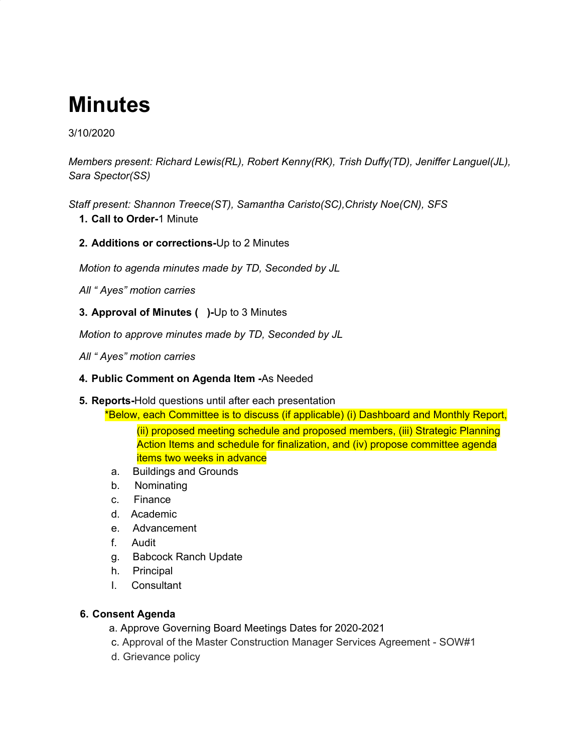# **Minutes**

### 3/10/2020

*Members present: Richard Lewis(RL), Robert Kenny(RK), Trish Duffy(TD), Jeniffer Languel(JL), Sara Spector(SS)*

*Staff present: Shannon Treece(ST), Samantha Caristo(SC),Christy Noe(CN), SFS*

- **1. Call to Order-**1 Minute
- **2. Additions or corrections-**Up to 2 Minutes

*Motion to agenda minutes made by TD, Seconded by JL*

*All " Ayes" motion carries*

**3. Approval of Minutes ( )-**Up to 3 Minutes

*Motion to approve minutes made by TD, Seconded by JL*

*All " Ayes" motion carries*

#### **4. Public Comment on Agenda Item -**As Needed

**5. Reports-**Hold questions until after each presentation

\*Below, each Committee is to discuss (if applicable) (i) Dashboard and Monthly Report,

(ii) proposed meeting schedule and proposed members, (iii) Strategic Planning Action Items and schedule for finalization, and (iv) propose committee agenda items two weeks in advance

- a. Buildings and Grounds
- b. Nominating
- c. Finance
- d. Academic
- e. Advancement
- f. Audit
- g. Babcock Ranch Update
- h. Principal
- I. Consultant

#### **6. Consent Agenda**

- a. Approve Governing Board Meetings Dates for 2020-2021
- c. Approval of the Master Construction Manager Services Agreement SOW#1
- d. Grievance policy